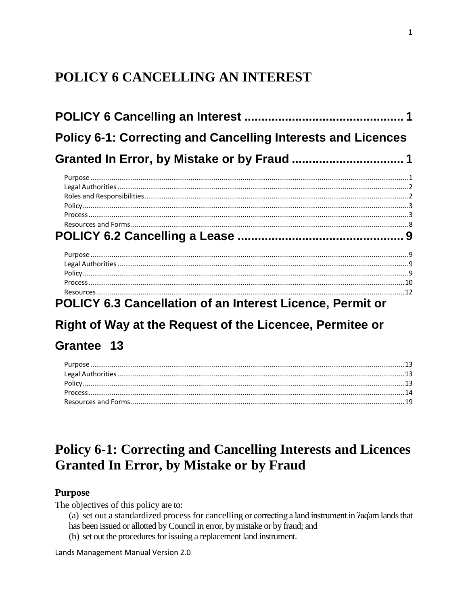# <span id="page-0-0"></span>POLICY 6 CANCELLING AN INTEREST

| <b>Policy 6-1: Correcting and Cancelling Interests and Licences</b> |  |
|---------------------------------------------------------------------|--|
|                                                                     |  |
|                                                                     |  |
|                                                                     |  |
|                                                                     |  |
|                                                                     |  |
|                                                                     |  |
|                                                                     |  |
|                                                                     |  |
|                                                                     |  |
|                                                                     |  |
|                                                                     |  |
|                                                                     |  |
|                                                                     |  |
| <b>POLICY 6.3 Cancellation of an Interest Licence, Permit or</b>    |  |

# Right of Way at the Request of the Licencee, Permitee or

# Grantee 13

# <span id="page-0-1"></span>**Policy 6-1: Correcting and Cancelling Interests and Licences Granted In Error, by Mistake or by Fraud**

# <span id="page-0-2"></span>**Purpose**

The objectives of this policy are to:

- (a) set out a standardized process for cancelling or correcting a land instrument in *Paciam* lands that
- has been issued or allotted by Council in error, by mistake or by fraud; and
- (b) set out the procedures for issuing a replacement land instrument.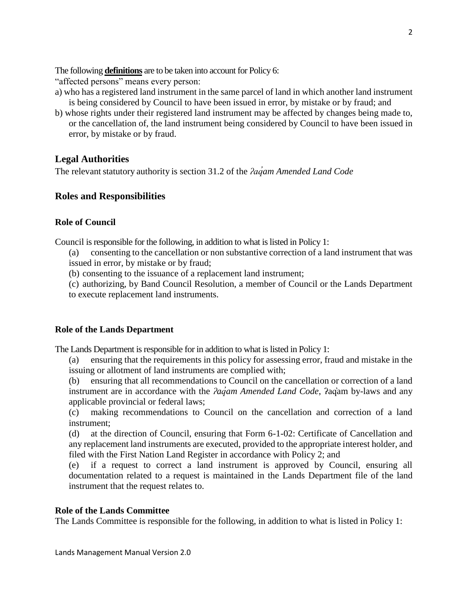The following **definitions** are to be taken into account for Policy 6:

"affected persons" means every person:

- a) who has a registered land instrument in the same parcel of land in which another land instrument is being considered by Council to have been issued in error, by mistake or by fraud; and
- b) whose rights under their registered land instrument may be affected by changes being made to, or the cancellation of, the land instrument being considered by Council to have been issued in error, by mistake or by fraud.

# <span id="page-1-0"></span>**Legal Authorities**

<span id="page-1-1"></span>The relevant statutory authority is section 31.2 of the *<i>Paq'am Amended Land Code* 

# **Roles and Responsibilities**

## **Role of Council**

Council is responsible for the following, in addition to what is listed in Policy 1:

(a) consenting to the cancellation or non substantive correction of a land instrument that was issued in error, by mistake or by fraud;

(b) consenting to the issuance of a replacement land instrument;

(c) authorizing, by Band Council Resolution, a member of Council or the Lands Department to execute replacement land instruments.

# **Role of the Lands Department**

The Lands Department is responsible for in addition to what is listed in Policy 1:

(a) ensuring that the requirements in this policy for assessing error, fraud and mistake in the issuing or allotment of land instruments are complied with;

(b) ensuring that all recommendations to Council on the cancellation or correction of a land instrument are in accordance with the *ʔaq̓am Amended Land Code*, ʔaq̓am by-laws and any applicable provincial or federal laws;

(c) making recommendations to Council on the cancellation and correction of a land instrument;

(d) at the direction of Council, ensuring that Form 6-1-02: Certificate of Cancellation and any replacement land instruments are executed, provided to the appropriate interest holder, and filed with the First Nation Land Register in accordance with Policy 2; and

(e) if a request to correct a land instrument is approved by Council, ensuring all documentation related to a request is maintained in the Lands Department file of the land instrument that the request relates to.

# **Role of the Lands Committee**

The Lands Committee is responsible for the following, in addition to what is listed in Policy 1: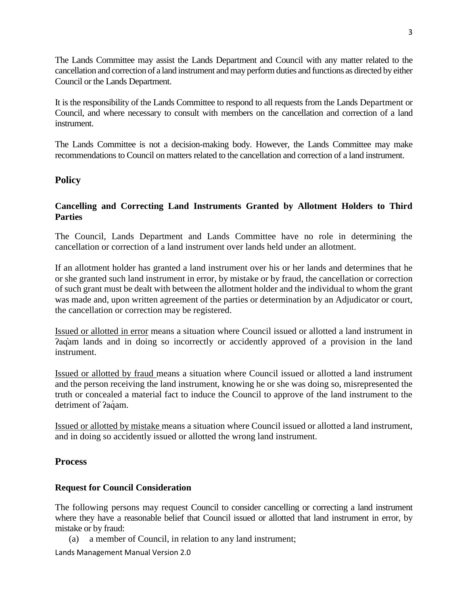The Lands Committee may assist the Lands Department and Council with any matter related to the cancellation and correction of a land instrument and may perform duties and functions as directed by either Council or the Lands Department.

It is the responsibility of the Lands Committee to respond to all requests from the Lands Department or Council, and where necessary to consult with members on the cancellation and correction of a land instrument.

The Lands Committee is not a decision-making body. However, the Lands Committee may make recommendations to Council on matters related to the cancellation and correction of a land instrument.

## <span id="page-2-0"></span>**Policy**

## **Cancelling and Correcting Land Instruments Granted by Allotment Holders to Third Parties**

The Council, Lands Department and Lands Committee have no role in determining the cancellation or correction of a land instrument over lands held under an allotment.

If an allotment holder has granted a land instrument over his or her lands and determines that he or she granted such land instrument in error, by mistake or by fraud, the cancellation or correction of such grant must be dealt with between the allotment holder and the individual to whom the grant was made and, upon written agreement of the parties or determination by an Adjudicator or court, the cancellation or correction may be registered.

Issued or allotted in error means a situation where Council issued or allotted a land instrument in ʔaq̓am lands and in doing so incorrectly or accidently approved of a provision in the land instrument.

Issued or allotted by fraud means a situation where Council issued or allotted a land instrument and the person receiving the land instrument, knowing he or she was doing so, misrepresented the truth or concealed a material fact to induce the Council to approve of the land instrument to the detriment of *?a*quam.

Issued or allotted by mistake means a situation where Council issued or allotted a land instrument, and in doing so accidently issued or allotted the wrong land instrument.

## <span id="page-2-1"></span>**Process**

## **Request for Council Consideration**

The following persons may request Council to consider cancelling or correcting a land instrument where they have a reasonable belief that Council issued or allotted that land instrument in error, by mistake or by fraud:

(a) a member of Council, in relation to any land instrument;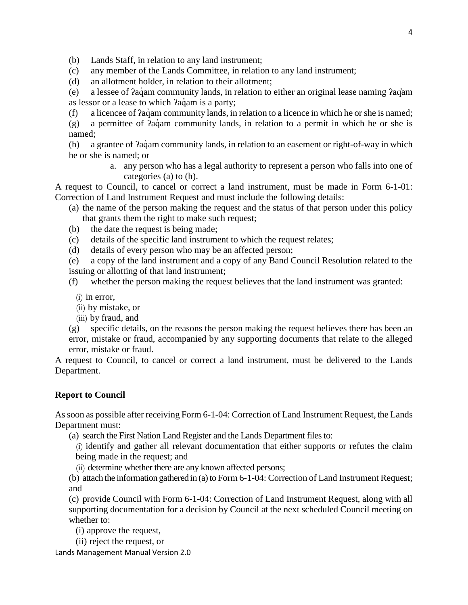(b) Lands Staff, in relation to any land instrument;

- (c) any member of the Lands Committee, in relation to any land instrument;
- (d) an allotment holder, in relation to their allotment;

(e) a lessee of ʔaq̓ am community lands, in relation to either an original lease naming ʔaq̓am as lessor or a lease to which  $2aq$  am is a party;

- (f) a licencee of *Pac*<sub>i</sub>am community lands, in relation to a licence in which he or she is named;
- (g) a permittee of  $2aq<sub>dm</sub>$  community lands, in relation to a permit in which he or she is named;

(h) a grantee of  $2aq$  am community lands, in relation to an easement or right-of-way in which he or she is named; or

> a. any person who has a legal authority to represent a person who falls into one of categories (a) to (h).

A request to Council, to cancel or correct a land instrument, must be made in Form 6-1-01: Correction of Land Instrument Request and must include the following details:

- (a) the name of the person making the request and the status of that person under this policy that grants them the right to make such request;
- (b) the date the request is being made;
- (c) details of the specific land instrument to which the request relates;
- (d) details of every person who may be an affected person;

(e) a copy of the land instrument and a copy of any Band Council Resolution related to the issuing or allotting of that land instrument;

- (f) whether the person making the request believes that the land instrument was granted:
	- $(i)$  in error,
	- (ii) by mistake, or
	- (iii) by fraud, and
- (g) specific details, on the reasons the person making the request believes there has been an error, mistake or fraud, accompanied by any supporting documents that relate to the alleged error, mistake or fraud.

A request to Council, to cancel or correct a land instrument, must be delivered to the Lands Department.

#### **Report to Council**

As soon as possible after receiving Form 6-1-04: Correction of Land Instrument Request, the Lands Department must:

(a) search the First Nation Land Register and the Lands Department files to:

(i) identify and gather all relevant documentation that either supports or refutes the claim being made in the request; and

(ii) determine whether there are any known affected persons;

(b) attach the information gathered in (a) to Form 6-1-04: Correction of Land Instrument Request; and

(c) provide Council with Form 6-1-04: Correction of Land Instrument Request, along with all supporting documentation for a decision by Council at the next scheduled Council meeting on whether to:

(i) approve the request,

(ii) reject the request, or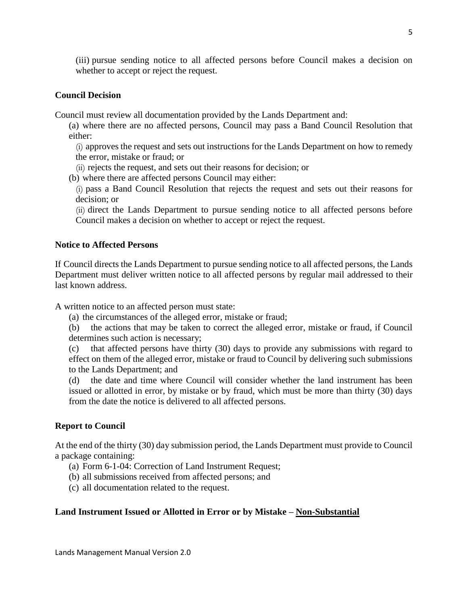(iii) pursue sending notice to all affected persons before Council makes a decision on whether to accept or reject the request.

## **Council Decision**

Council must review all documentation provided by the Lands Department and:

(a) where there are no affected persons, Council may pass a Band Council Resolution that either:

(i) approves the request and sets out instructions for the Lands Department on how to remedy the error, mistake or fraud; or

- (ii) rejects the request, and sets out their reasons for decision; or
- (b) where there are affected persons Council may either:

(i) pass a Band Council Resolution that rejects the request and sets out their reasons for decision; or

(ii) direct the Lands Department to pursue sending notice to all affected persons before Council makes a decision on whether to accept or reject the request.

## **Notice to Affected Persons**

If Council directs the Lands Department to pursue sending notice to all affected persons, the Lands Department must deliver written notice to all affected persons by regular mail addressed to their last known address.

A written notice to an affected person must state:

(a) the circumstances of the alleged error, mistake or fraud;

(b) the actions that may be taken to correct the alleged error, mistake or fraud, if Council determines such action is necessary;

(c) that affected persons have thirty (30) days to provide any submissions with regard to effect on them of the alleged error, mistake or fraud to Council by delivering such submissions to the Lands Department; and

(d) the date and time where Council will consider whether the land instrument has been issued or allotted in error, by mistake or by fraud, which must be more than thirty (30) days from the date the notice is delivered to all affected persons.

## **Report to Council**

At the end of the thirty (30) day submission period, the Lands Department must provide to Council a package containing:

(a) Form 6-1-04: Correction of Land Instrument Request;

(b) all submissions received from affected persons; and

(c) all documentation related to the request.

## **Land Instrument Issued or Allotted in Error or by Mistake – Non-Substantial**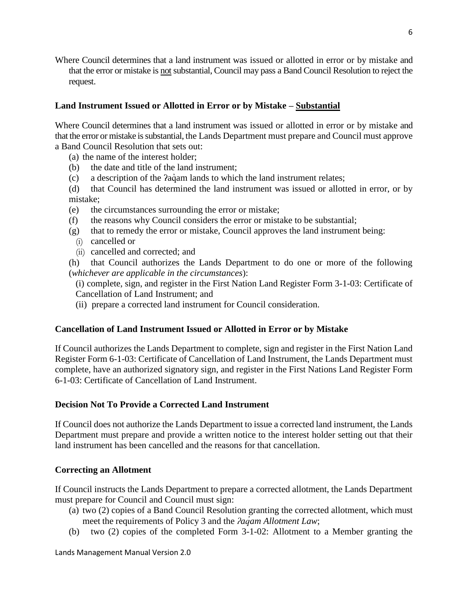Where Council determines that a land instrument was issued or allotted in error or by mistake and that the error or mistake is not substantial, Council may pass a Band Council Resolution to reject the request.

# **Land Instrument Issued or Allotted in Error or by Mistake – Substantial**

Where Council determines that a land instrument was issued or allotted in error or by mistake and that the error or mistake is substantial, the Lands Department must prepare and Council must approve a Band Council Resolution that sets out:

- (a) the name of the interest holder;
- (b) the date and title of the land instrument;
- (c) a description of the *Paciam lands* to which the land instrument relates;
- (d) that Council has determined the land instrument was issued or allotted in error, or by mistake;
- (e) the circumstances surrounding the error or mistake;
- (f) the reasons why Council considers the error or mistake to be substantial;
- (g) that to remedy the error or mistake, Council approves the land instrument being:
	- (i) cancelled or
	- (ii) cancelled and corrected; and

(h) that Council authorizes the Lands Department to do one or more of the following (*whichever are applicable in the circumstances*):

(i) complete, sign, and register in the First Nation Land Register Form 3-1-03: Certificate of Cancellation of Land Instrument; and

(ii) prepare a corrected land instrument for Council consideration.

# **Cancellation of Land Instrument Issued or Allotted in Error or by Mistake**

If Council authorizes the Lands Department to complete, sign and register in the First Nation Land Register Form 6-1-03: Certificate of Cancellation of Land Instrument, the Lands Department must complete, have an authorized signatory sign, and register in the First Nations Land Register Form 6-1-03: Certificate of Cancellation of Land Instrument.

# **Decision Not To Provide a Corrected Land Instrument**

If Council does not authorize the Lands Department to issue a corrected land instrument, the Lands Department must prepare and provide a written notice to the interest holder setting out that their land instrument has been cancelled and the reasons for that cancellation.

# **Correcting an Allotment**

If Council instructs the Lands Department to prepare a corrected allotment, the Lands Department must prepare for Council and Council must sign:

- (a) two (2) copies of a Band Council Resolution granting the corrected allotment, which must meet the requirements of Policy 3 and the *ʔaq̓am Allotment Law*;
- (b) two (2) copies of the completed Form 3-1-02: Allotment to a Member granting the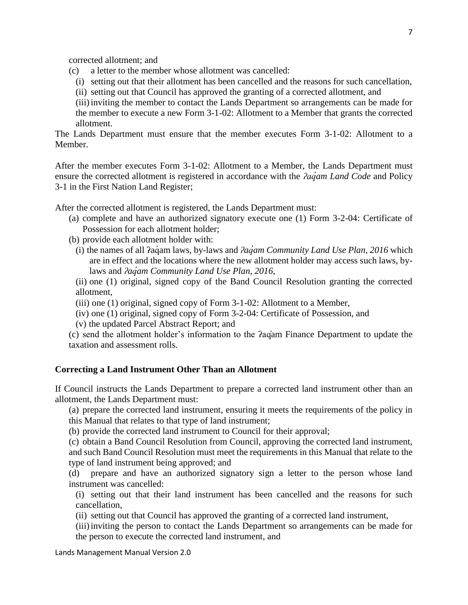corrected allotment; and

- (c) a letter to the member whose allotment was cancelled:
	- (i) setting out that their allotment has been cancelled and the reasons for such cancellation,
	- (ii) setting out that Council has approved the granting of a corrected allotment, and

(iii) inviting the member to contact the Lands Department so arrangements can be made for the member to execute a new Form 3-1-02: Allotment to a Member that grants the corrected allotment.

The Lands Department must ensure that the member executes Form 3-1-02: Allotment to a Member.

After the member executes Form 3-1-02: Allotment to a Member, the Lands Department must ensure the corrected allotment is registered in accordance with the *ʔaq̓am Land Code* and Policy 3-1 in the First Nation Land Register;

After the corrected allotment is registered, the Lands Department must:

(a) complete and have an authorized signatory execute one (1) Form 3-2-04: Certificate of Possession for each allotment holder;

(b) provide each allotment holder with:

(i) the names of all ʔaq̓ am laws, by-laws and *ʔaq̓am Community Land Use Plan, 2016* which are in effect and the locations where the new allotment holder may access such laws, bylaws and *ʔaq̓am Community Land Use Plan, 2016*,

(ii) one (1) original, signed copy of the Band Council Resolution granting the corrected allotment,

(iii) one (1) original, signed copy of Form 3-1-02: Allotment to a Member,

(iv) one (1) original, signed copy of Form 3-2-04: Certificate of Possession, and

(v) the updated Parcel Abstract Report; and

(c) send the allotment holder's information to the ʔaq̓am Finance Department to update the taxation and assessment rolls.

#### **Correcting a Land Instrument Other Than an Allotment**

If Council instructs the Lands Department to prepare a corrected land instrument other than an allotment, the Lands Department must:

(a) prepare the corrected land instrument, ensuring it meets the requirements of the policy in this Manual that relates to that type of land instrument;

(b) provide the corrected land instrument to Council for their approval;

(c) obtain a Band Council Resolution from Council, approving the corrected land instrument, and such Band Council Resolution must meet the requirements in this Manual that relate to the type of land instrument being approved; and

(d) prepare and have an authorized signatory sign a letter to the person whose land instrument was cancelled:

(i) setting out that their land instrument has been cancelled and the reasons for such cancellation,

(ii) setting out that Council has approved the granting of a corrected land instrument,

(iii) inviting the person to contact the Lands Department so arrangements can be made for the person to execute the corrected land instrument, and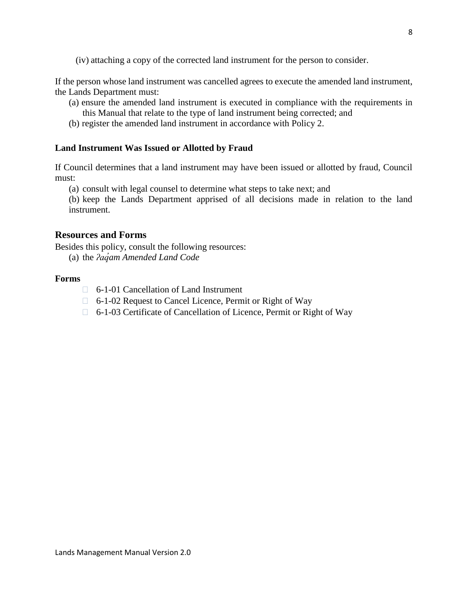(iv) attaching a copy of the corrected land instrument for the person to consider.

If the person whose land instrument was cancelled agrees to execute the amended land instrument, the Lands Department must:

- (a) ensure the amended land instrument is executed in compliance with the requirements in this Manual that relate to the type of land instrument being corrected; and
- (b) register the amended land instrument in accordance with Policy 2.

#### **Land Instrument Was Issued or Allotted by Fraud**

If Council determines that a land instrument may have been issued or allotted by fraud, Council must:

(a) consult with legal counsel to determine what steps to take next; and

(b) keep the Lands Department apprised of all decisions made in relation to the land instrument.

## <span id="page-7-0"></span>**Resources and Forms**

Besides this policy, consult the following resources:

(a) the *ʔaq̓am Amended Land Code*

#### **Forms**

- 6-1-01 Cancellation of Land Instrument
- □ 6-1-02 Request to Cancel Licence, Permit or Right of Way
- 6-1-03 Certificate of Cancellation of Licence, Permit or Right of Way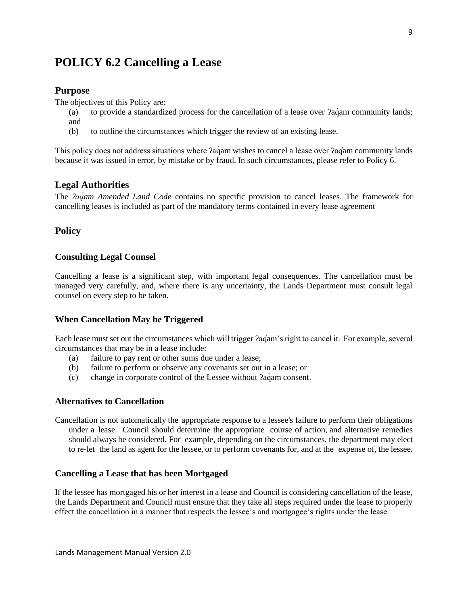# <span id="page-8-1"></span><span id="page-8-0"></span>**POLICY 6.2 Cancelling a Lease**

#### **Purpose**

The objectives of this Policy are:

- (a) to provide a standardized process for the cancellation of a lease over ʔaq̓am community lands; and
- (b) to outline the circumstances which trigger the review of an existing lease.

This policy does not address situations where  $2a\gamma$  am wishes to cancel a lease over  $2a\gamma$  and community lands because it was issued in error, by mistake or by fraud. In such circumstances, please refer to Policy 6.

#### <span id="page-8-2"></span>**Legal Authorities**

The *ʔaq̓am Amended Land Code* contains no specific provision to cancel leases. The framework for cancelling leases is included as part of the mandatory terms contained in every lease agreement

## <span id="page-8-3"></span>**Policy**

#### **Consulting Legal Counsel**

Cancelling a lease is a significant step, with important legal consequences. The cancellation must be managed very carefully, and, where there is any uncertainty, the Lands Department must consult legal counsel on every step to be taken.

#### **When Cancellation May be Triggered**

Each lease must set out the circumstances which will trigger ʔaq̓am's right to cancel it. For example, several circumstances that may be in a lease include:

- (a) failure to pay rent or other sums due under a lease;
- (b) failure to perform or observe any covenants set out in a lease; or
- (c) change in corporate control of the Lessee without ʔaq̓am consent.

#### **Alternatives to Cancellation**

Cancellation is not automatically the appropriate response to a lessee's failure to perform their obligations under a lease. Council should determine the appropriate course of action, and alternative remedies should always be considered. For example, depending on the circumstances, the department may elect to re-let the land as agent for the lessee, or to perform covenants for, and at the expense of, the lessee.

#### **Cancelling a Lease that has been Mortgaged**

If the lessee has mortgaged his or her interest in a lease and Council is considering cancellation of the lease, the Lands Department and Council must ensure that they take all steps required under the lease to properly effect the cancellation in a manner that respects the lessee's and mortgagee's rights under the lease.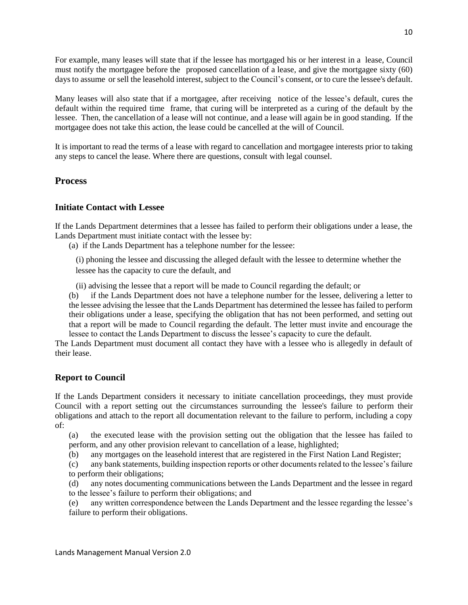For example, many leases will state that if the lessee has mortgaged his or her interest in a lease, Council must notify the mortgagee before the proposed cancellation of a lease, and give the mortgagee sixty (60) daysto assume or sell the leasehold interest, subject to the Council's consent, or to cure the lessee's default.

Many leases will also state that if a mortgagee, after receiving notice of the lessee's default, cures the default within the required time frame, that curing will be interpreted as a curing of the default by the lessee. Then, the cancellation of a lease will not continue, and a lease will again be in good standing. If the mortgagee does not take this action, the lease could be cancelled at the will of Council.

It is important to read the terms of a lease with regard to cancellation and mortgagee interests prior to taking any steps to cancel the lease. Where there are questions, consult with legal counsel.

#### <span id="page-9-0"></span>**Process**

#### **Initiate Contact with Lessee**

If the Lands Department determines that a lessee has failed to perform their obligations under a lease, the Lands Department must initiate contact with the lessee by:

(a) if the Lands Department has a telephone number for the lessee:

(i) phoning the lessee and discussing the alleged default with the lessee to determine whether the lessee has the capacity to cure the default, and

(ii) advising the lessee that a report will be made to Council regarding the default; or

(b) if the Lands Department does not have a telephone number for the lessee, delivering a letter to the lessee advising the lessee that the Lands Department has determined the lessee has failed to perform their obligations under a lease, specifying the obligation that has not been performed, and setting out that a report will be made to Council regarding the default. The letter must invite and encourage the lessee to contact the Lands Department to discuss the lessee's capacity to cure the default.

The Lands Department must document all contact they have with a lessee who is allegedly in default of their lease.

#### **Report to Council**

If the Lands Department considers it necessary to initiate cancellation proceedings, they must provide Council with a report setting out the circumstances surrounding the lessee's failure to perform their obligations and attach to the report all documentation relevant to the failure to perform, including a copy of:

(a) the executed lease with the provision setting out the obligation that the lessee has failed to perform, and any other provision relevant to cancellation of a lease, highlighted;

(b) any mortgages on the leasehold interest that are registered in the First Nation Land Register;

(c) any bank statements, building inspection reports or other documents related to the lessee's failure to perform their obligations;

(d) any notes documenting communications between the Lands Department and the lessee in regard to the lessee's failure to perform their obligations; and

(e) any written correspondence between the Lands Department and the lessee regarding the lessee's failure to perform their obligations.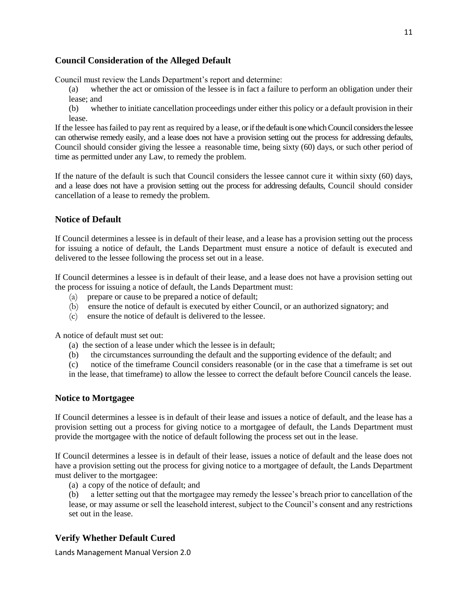## **Council Consideration of the Alleged Default**

Council must review the Lands Department's report and determine:

- (a) whether the act or omission of the lessee is in fact a failure to perform an obligation under their lease; and
- (b) whether to initiate cancellation proceedings under either this policy or a default provision in their lease.

If the lessee hasfailed to pay rent as required by a lease, or if the default is one which Council considers the lessee can otherwise remedy easily, and a lease does not have a provision setting out the process for addressing defaults, Council should consider giving the lessee a reasonable time, being sixty (60) days, or such other period of time as permitted under any Law, to remedy the problem.

If the nature of the default is such that Council considers the lessee cannot cure it within sixty (60) days, and a lease does not have a provision setting out the process for addressing defaults, Council should consider cancellation of a lease to remedy the problem.

#### **Notice of Default**

If Council determines a lessee is in default of their lease, and a lease has a provision setting out the process for issuing a notice of default, the Lands Department must ensure a notice of default is executed and delivered to the lessee following the process set out in a lease.

If Council determines a lessee is in default of their lease, and a lease does not have a provision setting out the process for issuing a notice of default, the Lands Department must:

- (a) prepare or cause to be prepared a notice of default;
- (b) ensure the notice of default is executed by either Council, or an authorized signatory; and
- (c) ensure the notice of default is delivered to the lessee.

A notice of default must set out:

- (a) the section of a lease under which the lessee is in default;
- (b) the circumstances surrounding the default and the supporting evidence of the default; and
- (c) notice of the timeframe Council considers reasonable (or in the case that a timeframe is set out in the lease, that timeframe) to allow the lessee to correct the default before Council cancels the lease.

#### **Notice to Mortgagee**

If Council determines a lessee is in default of their lease and issues a notice of default, and the lease has a provision setting out a process for giving notice to a mortgagee of default, the Lands Department must provide the mortgagee with the notice of default following the process set out in the lease.

If Council determines a lessee is in default of their lease, issues a notice of default and the lease does not have a provision setting out the process for giving notice to a mortgagee of default, the Lands Department must deliver to the mortgagee:

(a) a copy of the notice of default; and

(b) a letter setting out that the mortgagee may remedy the lessee's breach prior to cancellation of the lease, or may assume or sell the leasehold interest, subject to the Council's consent and any restrictions set out in the lease.

## **Verify Whether Default Cured**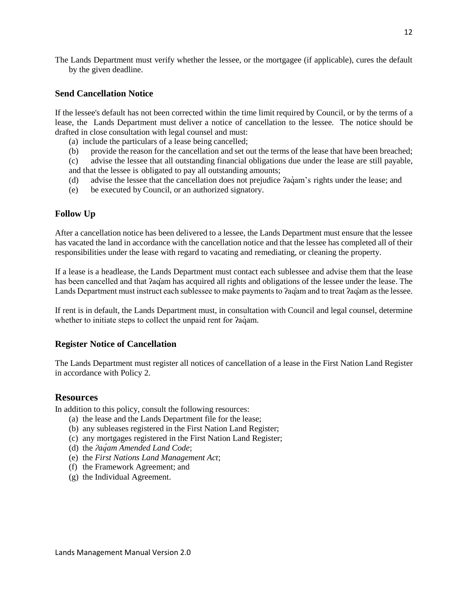The Lands Department must verify whether the lessee, or the mortgagee (if applicable), cures the default by the given deadline.

#### **Send Cancellation Notice**

If the lessee's default has not been corrected within the time limit required by Council, or by the terms of a lease, the Lands Department must deliver a notice of cancellation to the lessee. The notice should be drafted in close consultation with legal counsel and must:

- (a) include the particulars of a lease being cancelled;
- (b) provide the reason for the cancellation and set out the terms of the lease that have been breached;
- (c) advise the lessee that all outstanding financial obligations due under the lease are still payable, and that the lessee is obligated to pay all outstanding amounts;
- (d) advise the lessee that the cancellation does not prejudice  $2a\dot{q}$ am's rights under the lease; and
- (e) be executed by Council, or an authorized signatory.

#### **Follow Up**

After a cancellation notice has been delivered to a lessee, the Lands Department must ensure that the lessee has vacated the land in accordance with the cancellation notice and that the lessee has completed all of their responsibilities under the lease with regard to vacating and remediating, or cleaning the property.

If a lease is a headlease, the Lands Department must contact each sublessee and advise them that the lease has been cancelled and that  $2aq<sub>am</sub>$  has acquired all rights and obligations of the lessee under the lease. The Lands Department must instruct each sublessee to make payments to ʔaq̓am and to treat ʔaq̓am as the lessee.

If rent is in default, the Lands Department must, in consultation with Council and legal counsel, determine whether to initiate steps to collect the unpaid rent for  $2a\dot{a}$ m.

#### **Register Notice of Cancellation**

The Lands Department must register all notices of cancellation of a lease in the First Nation Land Register in accordance with Policy 2.

#### <span id="page-11-0"></span>**Resources**

In addition to this policy, consult the following resources:

- (a) the lease and the Lands Department file for the lease;
- (b) any subleases registered in the First Nation Land Register;
- (c) any mortgages registered in the First Nation Land Register;
- (d) the *ʔaq̓am Amended Land Code*;
- (e) the *First Nations Land Management Act*;
- (f) the Framework Agreement; and
- (g) the Individual Agreement.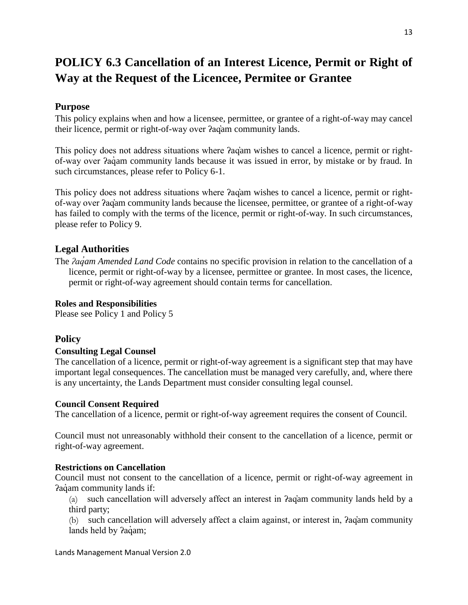# <span id="page-12-0"></span>**POLICY 6.3 Cancellation of an Interest Licence, Permit or Right of Way at the Request of the Licencee, Permitee or Grantee**

## <span id="page-12-1"></span>**Purpose**

This policy explains when and how a licensee, permittee, or grantee of a right-of-way may cancel their licence, permit or right-of-way over ʔaq̓am community lands.

This policy does not address situations where  $2aq<sub>am</sub>$  wishes to cancel a licence, permit or rightof-way over  $2a\ddot{q}$  am community lands because it was issued in error, by mistake or by fraud. In such circumstances, please refer to Policy 6-1.

This policy does not address situations where ʔaq̓am wishes to cancel a licence, permit or rightof-way over ʔaq̓am community lands because the licensee, permittee, or grantee of a right-of-way has failed to comply with the terms of the licence, permit or right-of-way. In such circumstances, please refer to Policy 9.

## <span id="page-12-2"></span>**Legal Authorities**

The *ʔaq̓am Amended Land Code* contains no specific provision in relation to the cancellation of a licence, permit or right-of-way by a licensee, permittee or grantee. In most cases, the licence, permit or right-of-way agreement should contain terms for cancellation.

#### **Roles and Responsibilities**

<span id="page-12-3"></span>Please see Policy 1 and Policy 5

## **Policy**

## **Consulting Legal Counsel**

The cancellation of a licence, permit or right-of-way agreement is a significant step that may have important legal consequences. The cancellation must be managed very carefully, and, where there is any uncertainty, the Lands Department must consider consulting legal counsel.

#### **Council Consent Required**

The cancellation of a licence, permit or right-of-way agreement requires the consent of Council.

Council must not unreasonably withhold their consent to the cancellation of a licence, permit or right-of-way agreement.

#### **Restrictions on Cancellation**

Council must not consent to the cancellation of a licence, permit or right-of-way agreement in Pagam community lands if:

(a) such cancellation will adversely affect an interest in ʔaq̓am community lands held by a third party;

(b) such cancellation will adversely affect a claim against, or interest in, ʔaq̓am community lands held by *?aqam*;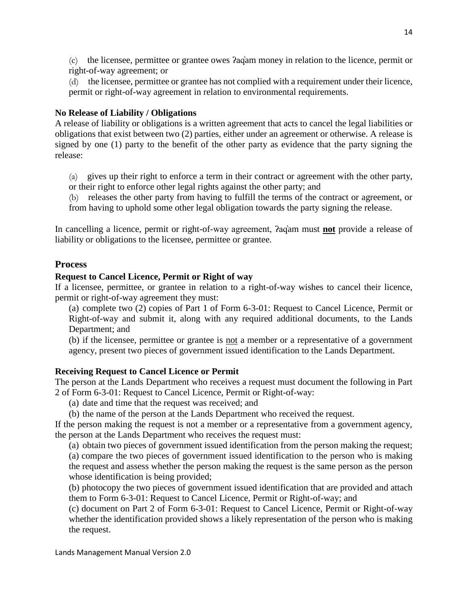(c) the licensee, permittee or grantee owes ʔaq̓am money in relation to the licence, permit or right-of-way agreement; or

(d) the licensee, permittee or grantee has not complied with a requirement under their licence, permit or right-of-way agreement in relation to environmental requirements.

# **No Release of Liability / Obligations**

A release of liability or obligations is a written agreement that acts to cancel the legal liabilities or obligations that exist between two (2) parties, either under an agreement or otherwise. A release is signed by one (1) party to the benefit of the other party as evidence that the party signing the release:

(a) gives up their right to enforce a term in their contract or agreement with the other party, or their right to enforce other legal rights against the other party; and

(b) releases the other party from having to fulfill the terms of the contract or agreement, or from having to uphold some other legal obligation towards the party signing the release.

In cancelling a licence, permit or right-of-way agreement, ʔaq̓am must **not** provide a release of liability or obligations to the licensee, permittee or grantee.

# <span id="page-13-0"></span>**Process**

# **Request to Cancel Licence, Permit or Right of way**

If a licensee, permittee, or grantee in relation to a right-of-way wishes to cancel their licence, permit or right-of-way agreement they must:

(a) complete two (2) copies of Part 1 of Form 6-3-01: Request to Cancel Licence, Permit or Right-of-way and submit it, along with any required additional documents, to the Lands Department; and

(b) if the licensee, permittee or grantee is not a member or a representative of a government agency, present two pieces of government issued identification to the Lands Department.

# **Receiving Request to Cancel Licence or Permit**

The person at the Lands Department who receives a request must document the following in Part 2 of Form 6-3-01: Request to Cancel Licence, Permit or Right-of-way:

(a) date and time that the request was received; and

(b) the name of the person at the Lands Department who received the request.

If the person making the request is not a member or a representative from a government agency, the person at the Lands Department who receives the request must:

(a) obtain two pieces of government issued identification from the person making the request; (a) compare the two pieces of government issued identification to the person who is making the request and assess whether the person making the request is the same person as the person whose identification is being provided;

(b) photocopy the two pieces of government issued identification that are provided and attach them to Form 6-3-01: Request to Cancel Licence, Permit or Right-of-way; and

(c) document on Part 2 of Form 6-3-01: Request to Cancel Licence, Permit or Right-of-way whether the identification provided shows a likely representation of the person who is making the request.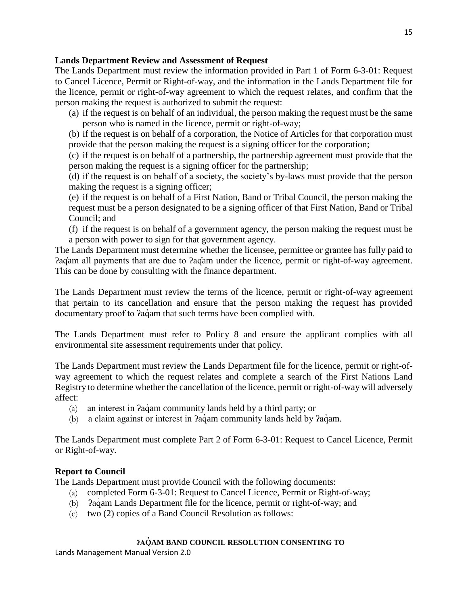## **Lands Department Review and Assessment of Request**

The Lands Department must review the information provided in Part 1 of Form 6-3-01: Request to Cancel Licence, Permit or Right-of-way, and the information in the Lands Department file for the licence, permit or right-of-way agreement to which the request relates, and confirm that the person making the request is authorized to submit the request:

(a) if the request is on behalf of an individual, the person making the request must be the same person who is named in the licence, permit or right-of-way;

(b) if the request is on behalf of a corporation, the Notice of Articles for that corporation must provide that the person making the request is a signing officer for the corporation;

(c) if the request is on behalf of a partnership, the partnership agreement must provide that the person making the request is a signing officer for the partnership;

(d) if the request is on behalf of a society, the society's by-laws must provide that the person making the request is a signing officer;

(e) if the request is on behalf of a First Nation, Band or Tribal Council, the person making the request must be a person designated to be a signing officer of that First Nation, Band or Tribal Council; and

(f) if the request is on behalf of a government agency, the person making the request must be a person with power to sign for that government agency.

The Lands Department must determine whether the licensee, permittee or grantee has fully paid to ʔaq̓am all payments that are due to ʔaq̓am under the licence, permit or right-of-way agreement. This can be done by consulting with the finance department.

The Lands Department must review the terms of the licence, permit or right-of-way agreement that pertain to its cancellation and ensure that the person making the request has provided documentary proof to *Pagam* that such terms have been complied with.

The Lands Department must refer to Policy 8 and ensure the applicant complies with all environmental site assessment requirements under that policy.

The Lands Department must review the Lands Department file for the licence, permit or right-ofway agreement to which the request relates and complete a search of the First Nations Land Registry to determine whether the cancellation of the licence, permit or right-of-way will adversely affect:

- (a) an interest in *Paciam* community lands held by a third party; or
- (b) a claim against or interest in *Pacifiam community lands held by Pacifiam*.

The Lands Department must complete Part 2 of Form 6-3-01: Request to Cancel Licence, Permit or Right-of-way.

# **Report to Council**

The Lands Department must provide Council with the following documents:

- (a) completed Form 6-3-01: Request to Cancel Licence, Permit or Right-of-way;
- (b)  $\hat{a}$  *agam Lands Department file for the licence, permit or right-of-way; and*
- (c) two (2) copies of a Band Council Resolution as follows:

# **ʔAQ ̓ AM BAND COUNCIL RESOLUTION CONSENTING TO**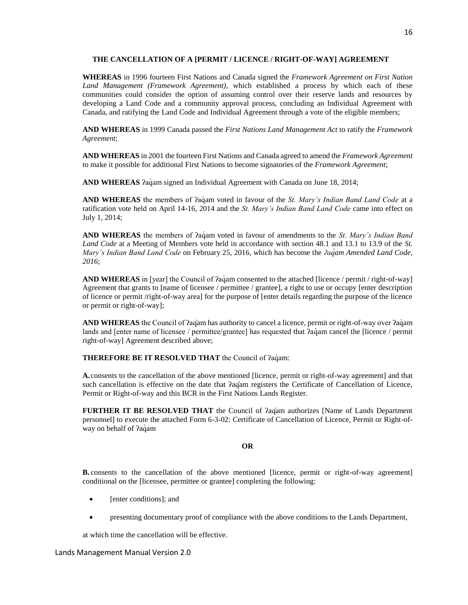#### **THE CANCELLATION OF A [PERMIT / LICENCE / RIGHT-OF-WAY] AGREEMENT**

**WHEREAS** in 1996 fourteen First Nations and Canada signed the *Framework Agreement on First Nation Land Management (Framework Agreement),* which established a process by which each of these communities could consider the option of assuming control over their reserve lands and resources by developing a Land Code and a community approval process, concluding an Individual Agreement with Canada, and ratifying the Land Code and Individual Agreement through a vote of the eligible members;

**AND WHEREAS** in 1999 Canada passed the *First Nations Land Management Act* to ratify the *Framework Agreement*;

**AND WHEREAS** in 2001 the fourteen First Nations and Canada agreed to amend the *Framework Agreement* to make it possible for additional First Nations to become signatories of the *Framework Agreement*;

**AND WHEREAS** *Pacam* signed an Individual Agreement with Canada on June 18, 2014;

**AND WHEREAS** the members of *?agam* voted in favour of the *St. Mary's Indian Band Land Code* at a ratification vote held on April 14-16, 2014 and the *St. Mary's Indian Band Land Code* came into effect on July 1, 2014;

AND WHEREAS the members of *?aqam* voted in favour of amendments to the *St. Mary's Indian Band Land Code* at a Meeting of Members vote held in accordance with section 48.1 and 13.1 to 13.9 of the *St. Mary's Indian Band Land Code* on February 25, 2016, which has become the *ʔaq̓am Amended Land Code, 2016*;

**AND WHEREAS** in [year] the Council of *?agam* consented to the attached [licence / permit / right-of-way] Agreement that grants to [name of licensee / permittee / grantee], a right to use or occupy [enter description of licence or permit /right-of-way area] for the purpose of [enter details regarding the purpose of the licence or permit or right-of-way];

**AND WHEREAS** the Council of *?ag*am has authority to cancel a licence, permit or right-of-way over *?agam* lands and [enter name of licensee / permittee/grantee] has requested that  $2a$ dam cancel the [licence / permit right-of-way] Agreement described above;

**THEREFORE BE IT RESOLVED THAT** the Council of *?aq*<sup>am:</sup>

**A.** consents to the cancellation of the above mentioned [licence, permit or right-of-way agreement] and that such cancellation is effective on the date that *faq*am registers the Certificate of Cancellation of Licence, Permit or Right-of-way and this BCR in the First Nations Lands Register.

**FURTHER IT BE RESOLVED THAT** the Council of *A*qiam authorizes [Name of Lands Department personnel] to execute the attached Form 6-3-02: Certificate of Cancellation of Licence, Permit or Right-ofway on behalf of *?aqam* 

#### **OR**

**B.** consents to the cancellation of the above mentioned [licence, permit or right-of-way agreement] conditional on the [licensee, permittee or grantee] completing the following:

- [enter conditions]; and
- presenting documentary proof of compliance with the above conditions to the Lands Department,

at which time the cancellation will be effective.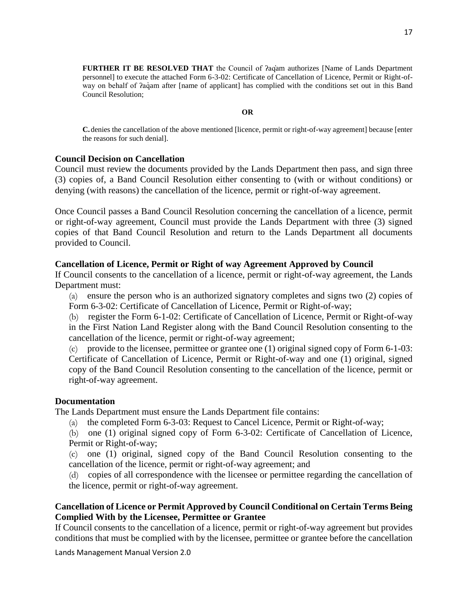**FURTHER IT BE RESOLVED THAT** the Council of *Angam authorizes* [Name of Lands Department personnel] to execute the attached Form 6-3-02: Certificate of Cancellation of Licence, Permit or Right-ofway on behalf of  $2a\ddot{q}$  am after [name of applicant] has complied with the conditions set out in this Band Council Resolution;

#### **OR**

**C.**denies the cancellation of the above mentioned [licence, permit or right-of-way agreement] because [enter the reasons for such denial].

#### **Council Decision on Cancellation**

Council must review the documents provided by the Lands Department then pass, and sign three (3) copies of, a Band Council Resolution either consenting to (with or without conditions) or denying (with reasons) the cancellation of the licence, permit or right-of-way agreement.

Once Council passes a Band Council Resolution concerning the cancellation of a licence, permit or right-of-way agreement, Council must provide the Lands Department with three (3) signed copies of that Band Council Resolution and return to the Lands Department all documents provided to Council.

#### **Cancellation of Licence, Permit or Right of way Agreement Approved by Council**

If Council consents to the cancellation of a licence, permit or right-of-way agreement, the Lands Department must:

(a) ensure the person who is an authorized signatory completes and signs two (2) copies of Form 6-3-02: Certificate of Cancellation of Licence, Permit or Right-of-way;

(b) register the Form 6-1-02: Certificate of Cancellation of Licence, Permit or Right-of-way in the First Nation Land Register along with the Band Council Resolution consenting to the cancellation of the licence, permit or right-of-way agreement;

(c) provide to the licensee, permittee or grantee one (1) original signed copy of Form 6-1-03: Certificate of Cancellation of Licence, Permit or Right-of-way and one (1) original, signed copy of the Band Council Resolution consenting to the cancellation of the licence, permit or right-of-way agreement.

#### **Documentation**

The Lands Department must ensure the Lands Department file contains:

(a) the completed Form 6-3-03: Request to Cancel Licence, Permit or Right-of-way;

(b) one (1) original signed copy of Form 6-3-02: Certificate of Cancellation of Licence, Permit or Right-of-way;

(c) one (1) original, signed copy of the Band Council Resolution consenting to the cancellation of the licence, permit or right-of-way agreement; and

(d) copies of all correspondence with the licensee or permittee regarding the cancellation of the licence, permit or right-of-way agreement.

## **Cancellation of Licence or Permit Approved by Council Conditional on Certain Terms Being Complied With by the Licensee, Permittee or Grantee**

If Council consents to the cancellation of a licence, permit or right-of-way agreement but provides conditions that must be complied with by the licensee, permittee or grantee before the cancellation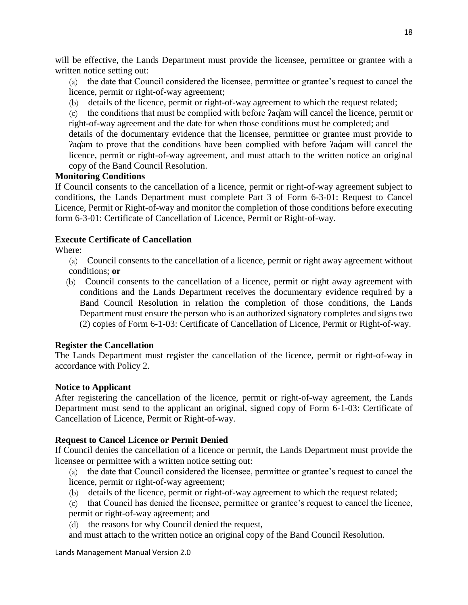will be effective, the Lands Department must provide the licensee, permittee or grantee with a written notice setting out:

(a) the date that Council considered the licensee, permittee or grantee's request to cancel the licence, permit or right-of-way agreement;

(b) details of the licence, permit or right-of-way agreement to which the request related;

(c) the conditions that must be complied with before ʔaq̓am will cancel the licence, permit or right-of-way agreement and the date for when those conditions must be completed; and

details of the documentary evidence that the licensee, permittee or grantee must provide to Pagam to prove that the conditions have been complied with before Pagam will cancel the licence, permit or right-of-way agreement, and must attach to the written notice an original copy of the Band Council Resolution.

## **Monitoring Conditions**

If Council consents to the cancellation of a licence, permit or right-of-way agreement subject to conditions, the Lands Department must complete Part 3 of Form 6-3-01: Request to Cancel Licence, Permit or Right-of-way and monitor the completion of those conditions before executing form 6-3-01: Certificate of Cancellation of Licence, Permit or Right-of-way.

## **Execute Certificate of Cancellation**

Where:

(a) Council consents to the cancellation of a licence, permit or right away agreement without conditions; **or** 

(b) Council consents to the cancellation of a licence, permit or right away agreement with conditions and the Lands Department receives the documentary evidence required by a Band Council Resolution in relation the completion of those conditions, the Lands Department must ensure the person who is an authorized signatory completes and signs two (2) copies of Form 6-1-03: Certificate of Cancellation of Licence, Permit or Right-of-way.

# **Register the Cancellation**

The Lands Department must register the cancellation of the licence, permit or right-of-way in accordance with Policy 2.

## **Notice to Applicant**

After registering the cancellation of the licence, permit or right-of-way agreement, the Lands Department must send to the applicant an original, signed copy of Form 6-1-03: Certificate of Cancellation of Licence, Permit or Right-of-way.

# **Request to Cancel Licence or Permit Denied**

If Council denies the cancellation of a licence or permit, the Lands Department must provide the licensee or permittee with a written notice setting out:

(a) the date that Council considered the licensee, permittee or grantee's request to cancel the licence, permit or right-of-way agreement;

- (b) details of the licence, permit or right-of-way agreement to which the request related;
- (c) that Council has denied the licensee, permittee or grantee's request to cancel the licence, permit or right-of-way agreement; and
- (d) the reasons for why Council denied the request,

and must attach to the written notice an original copy of the Band Council Resolution.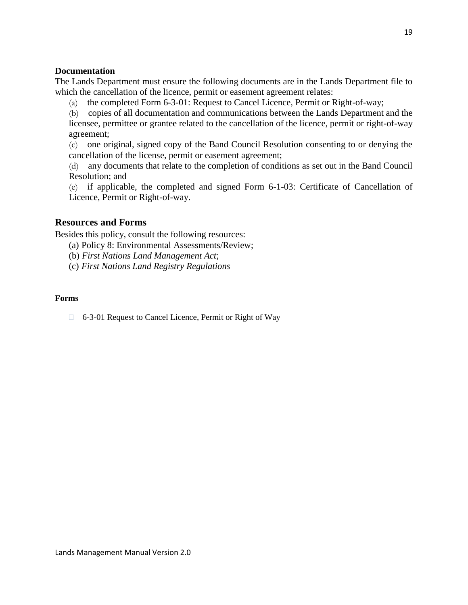## **Documentation**

The Lands Department must ensure the following documents are in the Lands Department file to which the cancellation of the licence, permit or easement agreement relates:

(a) the completed Form 6-3-01: Request to Cancel Licence, Permit or Right-of-way;

(b) copies of all documentation and communications between the Lands Department and the licensee, permittee or grantee related to the cancellation of the licence, permit or right-of-way agreement;

(c) one original, signed copy of the Band Council Resolution consenting to or denying the cancellation of the license, permit or easement agreement;

(d) any documents that relate to the completion of conditions as set out in the Band Council Resolution; and

(e) if applicable, the completed and signed Form 6-1-03: Certificate of Cancellation of Licence, Permit or Right-of-way.

# <span id="page-18-0"></span>**Resources and Forms**

Besides this policy, consult the following resources:

(a) Policy 8: Environmental Assessments/Review;

(b) *First Nations Land Management Act*;

(c) *First Nations Land Registry Regulations*

## **Forms**

6-3-01 Request to Cancel Licence, Permit or Right of Way